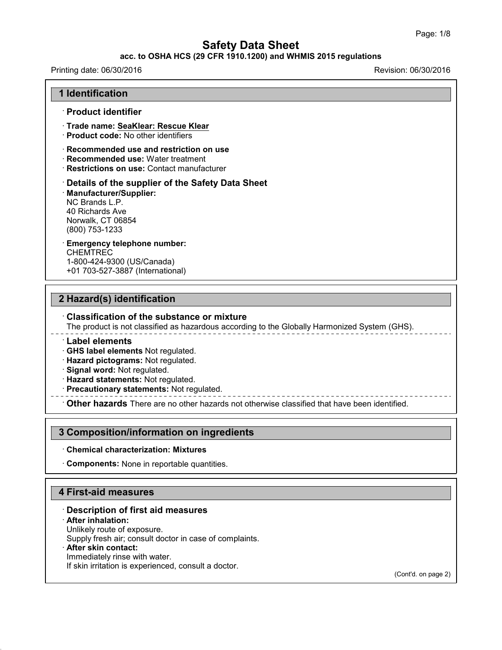### **acc. to OSHA HCS (29 CFR 1910.1200) and WHMIS 2015 regulations**

#### Printing date: 06/30/2016 Revision: 06/30/2016

|  | <b>1 Identification</b> |  |
|--|-------------------------|--|
|--|-------------------------|--|

#### · **Product identifier**

- · **Trade name: SeaKlear: Rescue Klear**
- · **Product code:** No other identifiers
- · **Recommended use and restriction on use**
- · **Recommended use:** Water treatment
- · **Restrictions on use:** Contact manufacturer

#### · **Details of the supplier of the Safety Data Sheet** · **Manufacturer/Supplier:** NC Brands L.P. 40 Richards Ave Norwalk, CT 06854 (800) 753-1233

#### · **Emergency telephone number: CHEMTREC**

1-800-424-9300 (US/Canada) +01 703-527-3887 (International)

### **2 Hazard(s) identification**

#### · **Classification of the substance or mixture**

The product is not classified as hazardous according to the Globally Harmonized System (GHS).

· **Label elements**

· **GHS label elements** Not regulated.

· **Hazard pictograms:** Not regulated.

- · **Signal word:** Not regulated.
- · **Hazard statements:** Not regulated.
- · **Precautionary statements:** Not regulated.

· **Other hazards** There are no other hazards nototherwise classified that have been identified.

### **3 Composition/information on ingredients**

#### · **Chemical characterization: Mixtures**

· **Components:** None in reportable quantities.

## **4 First-aid measures**

### · **Description of first aid measures**

#### · **After inhalation:**

43.0

Unlikely route of exposure.

Supply fresh air; consult doctor in case of complaints.

#### · **After skin contact:**

Immediately rinse with water. If skin irritation is experienced, consult a doctor.

(Cont'd. on page 2)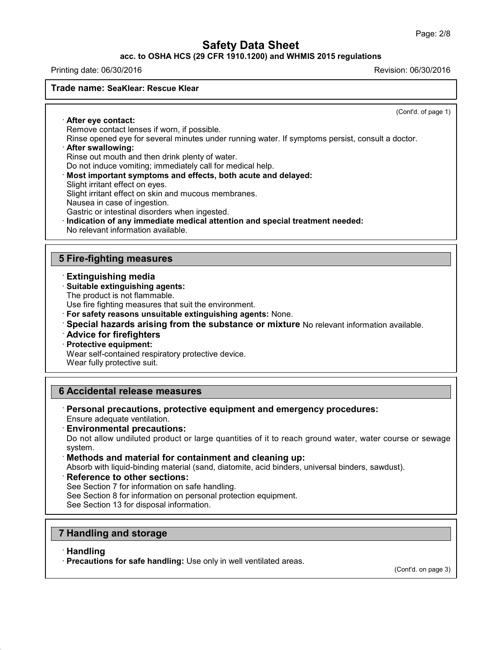**acc. to OSHA HCS (29 CFR 1910.1200) and WHMIS 2015 regulations**

#### Printing date: 06/30/2016 Revision: 06/30/2016

#### **Trade name: SeaKlear: Rescue Klear**

(Cont'd. of page 1)

· **After eye contact:** Remove contact lenses if worn, if possible.

Rinse opened eye for several minutes under running water. If symptoms persist, consult a doctor.

## · **After swallowing:**

Rinse out mouth and then drink plenty of water.

Do not induce vomiting; immediately call for medical help.

· **Most important symptoms and effects, both acute and delayed:**

Slight irritant effect on eyes.

Slight irritant effect on skin and mucous membranes.

Nausea in case of ingestion.

Gastric or intestinal disorders when ingested.

· **Indication of any immediate medical attention and special treatment needed:**

No relevant information available.

## **5 Fire-fighting measures**

### · **Extinguishing media**

### · **Suitable extinguishing agents:**

The product is not flammable.

Use fire fighting measures that suit the environment.

- · **For safety reasons unsuitable extinguishing agents:** None.
- · **Special hazards arising from the substance or mixture** No relevant information available.
- · **Advice for firefighters**
- · **Protective equipment:**

Wear self-contained respiratory protective device.

Wear fully protective suit.

## **6 Accidental release measures**

- · **Personal precautions, protective equipment and emergency procedures:** Ensure adequate ventilation.
- · **Environmental precautions:**

Do not allow undiluted product or large quantities of it to reach ground water, water course or sewage system.

### · **Methods and material for containment and cleaning up:**

Absorb with liquid-binding material (sand, diatomite, acid binders, universal binders, sawdust).

- · **Reference to other sections:**
- See Section 7 for information on safe handling.

See Section 8 for information on personal protection equipment.

See Section 13 for disposal information.

## **7 Handling and storage**

· **Handling**

43.0

· **Precautions for safe handling:** Use only in well ventilated areas.

(Cont'd. on page 3)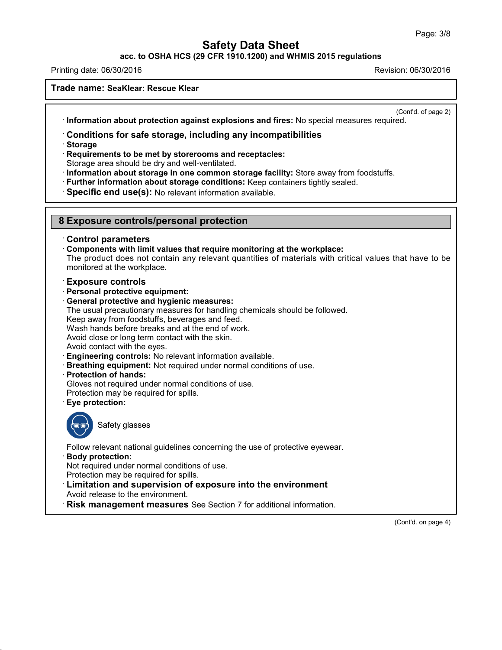### **acc. to OSHA HCS (29 CFR 1910.1200) and WHMIS 2015 regulations**

Printing date: 06/30/2016 Revision: 06/30/2016

#### **Trade name: SeaKlear: Rescue Klear**

(Cont'd. of page 2)

· **Information about protection against explosions and fires:** No special measures required.

### · **Conditions for safe storage, including any incompatibilities**

· **Storage**

· **Requirements to be met by storerooms and receptacles:**

Storage area should be dry and well-ventilated.

· **Information about storage in one common storage facility:** Store away from foodstuffs.

· **Further information about storage conditions:** Keep containers tightly sealed.

· **Specific end use(s):** No relevant information available.

### **8 Exposure controls/personal protection**

#### · **Control parameters**

· **Components with limit values that require monitoring at the workplace:**

The product does not contain any relevant quantities of materials with critical values that have to be monitored at the workplace.

#### · **Exposure controls**

- · **Personal protective equipment:**
- · **General protective and hygienic measures:**

The usual precautionary measures for handling chemicals should be followed.

Keep away from foodstuffs, beverages and feed.

Wash hands before breaks and at the end of work.

Avoid close or long term contact with the skin.

Avoid contact with the eyes.

- · **Engineering controls:** No relevant information available.
- · **Breathing equipment:** Not required under normal conditions of use.
- · **Protection of hands:**

Gloves not required under normal conditions of use.

Protection may be required for spills.

· **Eye protection:**



43.0

Safety glasses

Follow relevant national guidelines concerning the use of protective eyewear.

· **Body protection:**

Not required under normal conditions of use.

Protection may be required for spills.

· **Limitation and supervision of exposure into the environment**

Avoid release to the environment.

· **Risk management measures** See Section 7 for additional information.

(Cont'd. on page 4)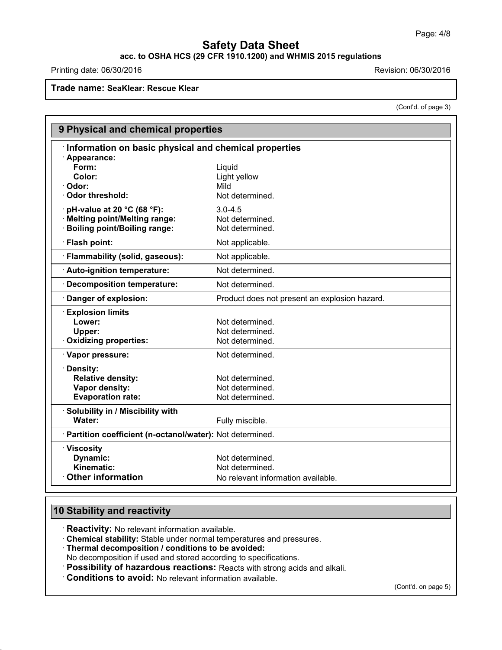# **acc. to OSHA HCS (29 CFR 1910.1200) and WHMIS 2015 regulations**

Printing date: 06/30/2016 **Revision: 06/30/2016** Revision: 06/30/2016

**Trade name: SeaKlear: Rescue Klear**

(Cont'd. of page 3)

| 9 Physical and chemical properties                         |                                               |
|------------------------------------------------------------|-----------------------------------------------|
| Information on basic physical and chemical properties      |                                               |
| · Appearance:                                              |                                               |
| Form:                                                      | Liquid                                        |
| Color:                                                     | Light yellow                                  |
| Odor:                                                      | Mild                                          |
| <b>Odor threshold:</b>                                     | Not determined.                               |
| pH-value at 20 °C (68 °F):                                 | $3.0 - 4.5$                                   |
| <b>Melting point/Melting range:</b>                        | Not determined.                               |
| <b>Boiling point/Boiling range:</b>                        | Not determined.                               |
| · Flash point:                                             | Not applicable.                               |
| · Flammability (solid, gaseous):                           | Not applicable.                               |
| · Auto-ignition temperature:                               | Not determined.                               |
| Decomposition temperature:                                 | Not determined.                               |
| Danger of explosion:                                       | Product does not present an explosion hazard. |
| <b>Explosion limits</b>                                    |                                               |
| Lower:                                                     | Not determined.                               |
| Upper:                                                     | Not determined.                               |
| Oxidizing properties:                                      | Not determined.                               |
| · Vapor pressure:                                          | Not determined.                               |
| Density:                                                   |                                               |
| <b>Relative density:</b>                                   | Not determined.                               |
| Vapor density:                                             | Not determined.                               |
| <b>Evaporation rate:</b>                                   | Not determined.                               |
| · Solubility in / Miscibility with                         |                                               |
| Water:                                                     | Fully miscible.                               |
| · Partition coefficient (n-octanol/water): Not determined. |                                               |
| · Viscosity                                                |                                               |
| Dynamic:                                                   | Not determined.                               |
| Kinematic:                                                 | Not determined.                               |
| <b>Other information</b>                                   | No relevant information available.            |

# **10 Stability and reactivity**

43.0

· **Reactivity:** No relevant information available.

· **Chemical stability:** Stable under normal temperatures and pressures.

· **Thermal decomposition / conditions to be avoided:**

No decomposition if used and stored according to specifications.

· **Possibility of hazardous reactions:** Reacts with strong acids and alkali.

· **Conditions to avoid:** No relevant information available.

(Cont'd. on page 5)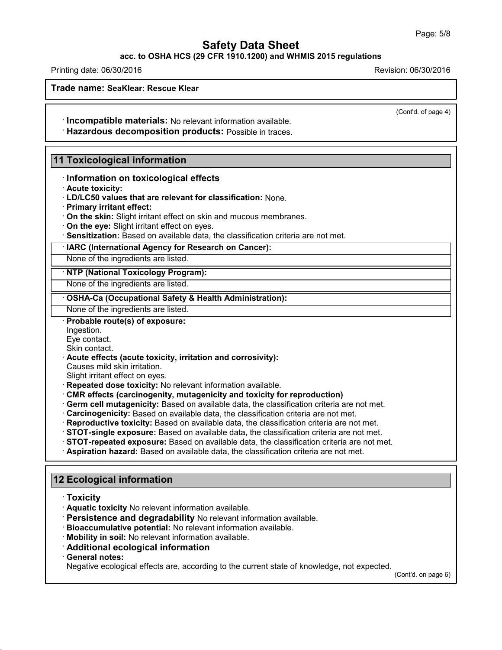### **acc. to OSHA HCS (29 CFR 1910.1200) and WHMIS 2015 regulations**

Printing date: 06/30/2016 Revision: 06/30/2016

**Trade name: SeaKlear: Rescue Klear**

(Cont'd. of page 4)

· **Incompatible materials:** No relevant information available.

· **Hazardous decomposition products:** Possible in traces.

## **11 Toxicological information**

· **Information on toxicological effects**

· **Acute toxicity:**

· **LD/LC50 values that are relevant for classification:** None.

· **Primary irritant effect:**

· **On the skin:** Slight irritant effect on skin and mucous membranes.

- · **On the eye:** Slight irritant effect on eyes.
- · **Sensitization:** Based on available data, the classification criteria are not met.

· **IARC (International Agency for Research on Cancer):**

None of the ingredients are listed.

· **NTP (National Toxicology Program):**

None of the ingredients are listed.

· **OSHA-Ca (Occupational Safety & Health Administration):**

None of the ingredients are listed.

· **Probable route(s) of exposure:**

Ingestion.

Eye contact. Skin contact.

· **Acute effects (acute toxicity, irritation and corrosivity):**

Causes mild skin irritation.

Slight irritant effect on eyes.

- · **Repeated dose toxicity:** No relevant information available.
- · **CMR effects (carcinogenity, mutagenicity and toxicity for reproduction)**
- · **Germ cell mutagenicity:** Based on available data, the classification criteria are not met.
- · **Carcinogenicity:** Based on available data, the classification criteria are not met.
- · **Reproductive toxicity:** Based on available data, the classification criteria are not met.
- · **STOT-single exposure:** Based on available data, the classification criteria are not met.
- · **STOT-repeated exposure:** Based on available data, the classification criteria are not met.
- · **Aspiration hazard:** Based on available data, the classification criteria are not met.

## **12 Ecological information**

- · **Toxicity**
- · **Aquatic toxicity** No relevant information available.
- · **Persistence and degradability** No relevant information available.
- · **Bioaccumulative potential:** No relevant information available.
- · **Mobility in soil:** No relevant information available.
- · **Additional ecological information**
- · **General notes:**

43.0

Negative ecological effects are, according to the current state of knowledge, not expected.

(Cont'd. on page 6)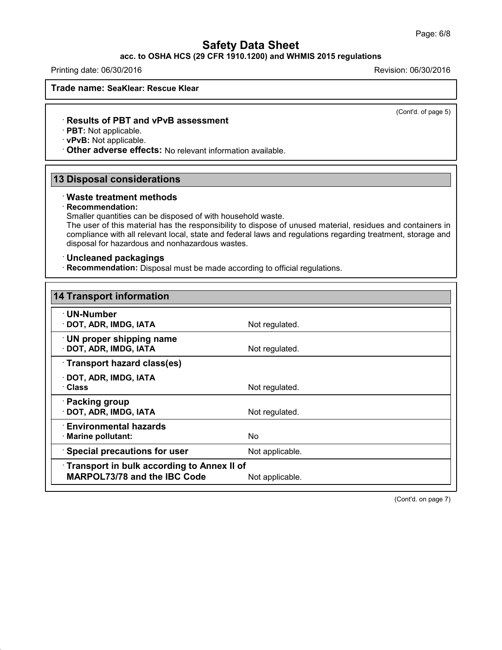## **acc. to OSHA HCS (29 CFR 1910.1200) and WHMIS 2015 regulations**

Printing date: 06/30/2016 Revision: 06/30/2016

**Trade name: SeaKlear: Rescue Klear**

(Cont'd. of page 5)

#### · **Results of PBT and vPvB assessment**

· **PBT:** Not applicable.

· **vPvB:** Not applicable.

· **Other adverse effects:** No relevant information available.

## **13 Disposal considerations**

#### · **Waste treatment methods**

#### · **Recommendation:**

43.0

Smaller quantities can be disposed of with household waste.

The user of this material has the responsibility to dispose of unused material, residues and containers in compliance with all relevant local, state and federal laws and regulations regarding treatment, storage and disposal for hazardous and nonhazardous wastes.

#### · **Uncleaned packagings**

· **Recommendation:** Disposal must be made according to official regulations.

| <b>14 Transport information</b>                                                   |                 |
|-----------------------------------------------------------------------------------|-----------------|
| ∙ UN-Number<br>· DOT, ADR, IMDG, IATA                                             | Not regulated.  |
| <b>UN proper shipping name</b><br>· DOT, ADR, IMDG, IATA                          | Not regulated.  |
| Transport hazard class(es)                                                        |                 |
| · DOT, ADR, IMDG, IATA<br>· Class                                                 | Not regulated.  |
| · Packing group<br>· DOT, ADR, IMDG, IATA                                         | Not regulated.  |
| $\cdot$ Environmental hazards<br>· Marine pollutant:                              | No.             |
| <b>Special precautions for user</b>                                               | Not applicable. |
| Transport in bulk according to Annex II of<br><b>MARPOL73/78 and the IBC Code</b> | Not applicable. |

(Cont'd. on page 7)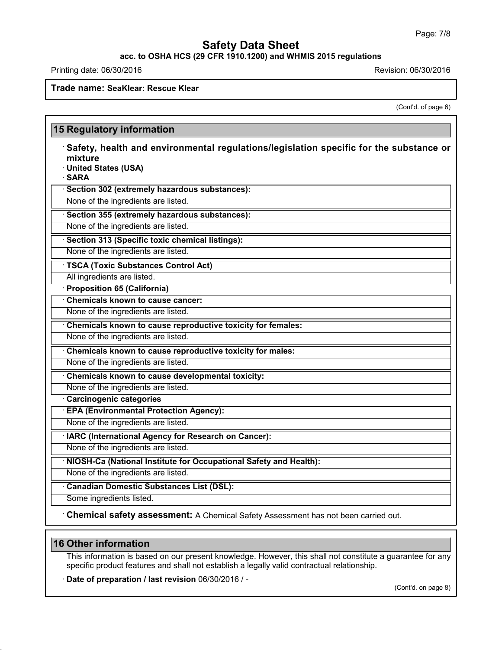**acc. to OSHA HCS (29 CFR 1910.1200) and WHMIS 2015 regulations**

Printing date: 06/30/2016 **Revision: 06/30/2016** 

## **Trade name: SeaKlear: Rescue Klear**

(Cont'd. of page 6)

| mixture                             | Safety, health and environmental regulations/legislation specific for the substance or |
|-------------------------------------|----------------------------------------------------------------------------------------|
| · United States (USA)               |                                                                                        |
| · SARA                              |                                                                                        |
|                                     | · Section 302 (extremely hazardous substances):                                        |
| None of the ingredients are listed. |                                                                                        |
|                                     | · Section 355 (extremely hazardous substances):                                        |
| None of the ingredients are listed. |                                                                                        |
|                                     | Section 313 (Specific toxic chemical listings):                                        |
| None of the ingredients are listed. |                                                                                        |
|                                     | <b>TSCA (Toxic Substances Control Act)</b>                                             |
| All ingredients are listed.         |                                                                                        |
| · Proposition 65 (California)       |                                                                                        |
| Chemicals known to cause cancer:    |                                                                                        |
| None of the ingredients are listed. |                                                                                        |
|                                     | Chemicals known to cause reproductive toxicity for females:                            |
| None of the ingredients are listed. |                                                                                        |
|                                     | Chemicals known to cause reproductive toxicity for males:                              |
| None of the ingredients are listed. |                                                                                        |
|                                     | Chemicals known to cause developmental toxicity:                                       |
| None of the ingredients are listed. |                                                                                        |
| Carcinogenic categories             |                                                                                        |
|                                     | · EPA (Environmental Protection Agency):                                               |
| None of the ingredients are listed. |                                                                                        |
|                                     | · IARC (International Agency for Research on Cancer):                                  |
| None of the ingredients are listed. |                                                                                        |
|                                     | · NIOSH-Ca (National Institute for Occupational Safety and Health):                    |
| None of the ingredients are listed. |                                                                                        |
|                                     | <b>Canadian Domestic Substances List (DSL):</b>                                        |
| Some ingredients listed.            |                                                                                        |

# **16 Other information**

43.0

This information is based on our present knowledge. However, this shall not constitute a guarantee for any specific product features and shall not establish a legally valid contractual relationship.

· **Date of preparation / last revision** 06/30/2016 / -

(Cont'd. on page 8)